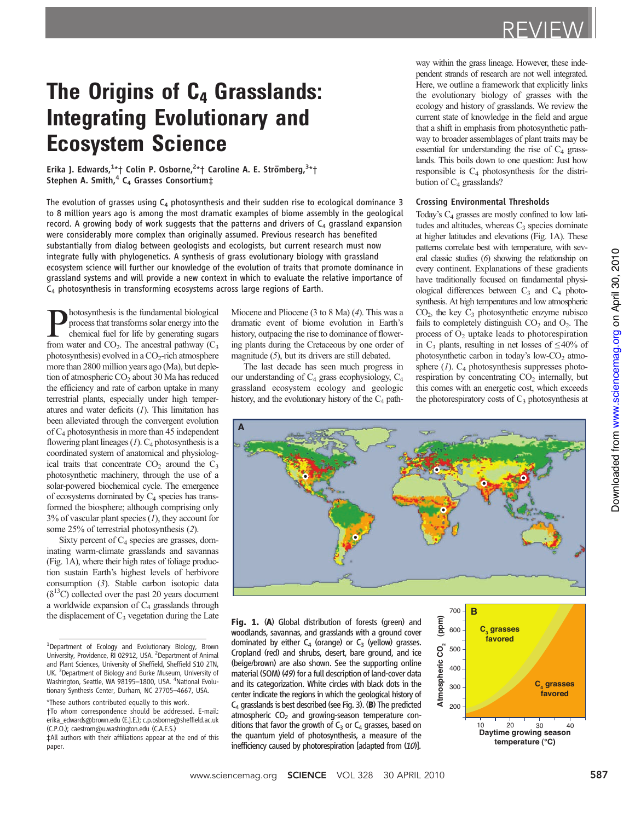# The Origins of  $C_4$  Grasslands: Integrating Evolutionary and Ecosystem Science

Erika J. Edwards,<sup>1</sup>\*† Colin P. Osborne,<sup>2</sup>\*† Caroline A. E. Strömberg,<sup>3</sup>\*†<br>Stephen A. Smith,<sup>4</sup> C<sub>4</sub> Grasses Consortium‡

The evolution of grasses using  $C_4$  photosynthesis and their sudden rise to ecological dominance 3 to 8 million years ago is among the most dramatic examples of biome assembly in the geological record. A growing body of work suggests that the patterns and drivers of  $C_4$  grassland expansion were considerably more complex than originally assumed. Previous research has benefited substantially from dialog between geologists and ecologists, but current research must now integrate fully with phylogenetics. A synthesis of grass evolutionary biology with grassland ecosystem science will further our knowledge of the evolution of traits that promote dominance in grassland systems and will provide a new context in which to evaluate the relative importance of C4 photosynthesis in transforming ecosystems across large regions of Earth.

hotosynthesis is the fundamental biological process that transforms solar energy into the chemical fuel for life by generating sugars from water and  $CO<sub>2</sub>$ . The ancestral pathway  $(C<sub>3</sub>)$ photosynthesis) evolved in a  $CO<sub>2</sub>$ -rich atmosphere more than 2800 million years ago (Ma), but depletion of atmospheric  $CO<sub>2</sub>$  about 30 Ma has reduced the efficiency and rate of carbon uptake in many terrestrial plants, especially under high temperatures and water deficits  $(I)$ . This limitation has been alleviated through the convergent evolution of C4 photosynthesis in more than 45 independent flowering plant lineages  $(1)$ .  $C_4$  photosynthesis is a coordinated system of anatomical and physiological traits that concentrate  $CO<sub>2</sub>$  around the  $C<sub>3</sub>$ photosynthetic machinery, through the use of a solar-powered biochemical cycle. The emergence of ecosystems dominated by  $C_4$  species has transformed the biosphere; although comprising only  $3\%$  of vascular plant species (1), they account for some 25% of terrestrial photosynthesis (2).

Sixty percent of  $C_4$  species are grasses, dominating warm-climate grasslands and savannas (Fig. 1A), where their high rates of foliage production sustain Earth's highest levels of herbivore consumption (3). Stable carbon isotopic data  $(\delta^{13}C)$  collected over the past 20 years document a worldwide expansion of  $C_4$  grasslands through the displacement of  $C_3$  vegetation during the Late Miocene and Pliocene (3 to 8 Ma) (4). This was a dramatic event of biome evolution in Earth's history, outpacing the rise to dominance of flowering plants during the Cretaceous by one order of magnitude (5), but its drivers are still debated.

The last decade has seen much progress in our understanding of  $C_4$  grass ecophysiology,  $C_4$ grassland ecosystem ecology and geologic history, and the evolutionary history of the  $C_4$  pathway within the grass lineage. However, these independent strands of research are not well integrated. Here, we outline a framework that explicitly links the evolutionary biology of grasses with the ecology and history of grasslands. We review the current state of knowledge in the field and argue that a shift in emphasis from photosynthetic pathway to broader assemblages of plant traits may be essential for understanding the rise of  $C_4$  grasslands. This boils down to one question: Just how responsible is  $C_4$  photosynthesis for the distribution of  $C_4$  grasslands?

## Crossing Environmental Thresholds

Today's C4 grasses are mostly confined to low latitudes and altitudes, whereas  $C_3$  species dominate at higher latitudes and elevations (Fig. 1A). These patterns correlate best with temperature, with several classic studies (6) showing the relationship on every continent. Explanations of these gradients have traditionally focused on fundamental physiological differences between  $C_3$  and  $C_4$  photosynthesis. At high temperatures and low atmospheric  $CO<sub>2</sub>$ , the key  $C<sub>3</sub>$  photosynthetic enzyme rubisco fails to completely distinguish  $CO<sub>2</sub>$  and  $O<sub>2</sub>$ . The process of  $O<sub>2</sub>$  uptake leads to photorespiration in C<sub>3</sub> plants, resulting in net losses of  $\leq 40\%$  of photosynthetic carbon in today's low- $CO<sub>2</sub>$  atmosphere  $(1)$ .  $C_4$  photosynthesis suppresses photorespiration by concentrating  $CO<sub>2</sub>$  internally, but this comes with an energetic cost, which exceeds the photorespiratory costs of  $C_3$  photosynthesis at



Fig. 1. (A) Global distribution of forests (green) and woodlands, savannas, and grasslands with a ground cover dominated by either  $C_4$  (orange) or  $C_3$  (yellow) grasses. Cropland (red) and shrubs, desert, bare ground, and ice (beige/brown) are also shown. See the supporting online material (SOM) (49) for a full description of land-cover data and its categorization. White circles with black dots in the center indicate the regions in which the geological history of  $C_4$  grasslands is best described (see Fig. 3). (B) The predicted atmospheric  $CO<sub>2</sub>$  and growing-season temperature conditions that favor the growth of  $C_3$  or  $C_4$  grasses, based on the quantum yield of photosynthesis, a measure of the inefficiency caused by photorespiration [adapted from (10)].



<sup>&</sup>lt;sup>1</sup>Department of Ecology and Evolutionary Biology, Brown University, Providence, RI 02912, USA. <sup>2</sup> Department of Animal and Plant Sciences, University of Sheffield, Sheffield S10 2TN, UK. <sup>3</sup> Department of Biology and Burke Museum, University of Washington, Seattle, WA 98195-1800, USA. <sup>4</sup>National Evolutionary Synthesis Center, Durham, NC 27705–4667, USA.

<sup>\*</sup>These authors contributed equally to this work. †To whom correspondence should be addressed. E-mail: erika\_edwards@brown.edu (E.J.E.); c.p.osborne@sheffield.ac.uk (C.P.O.); caestrom@u.washington.edu (C.A.E.S.)

<sup>‡</sup>All authors with their affiliations appear at the end of this paper.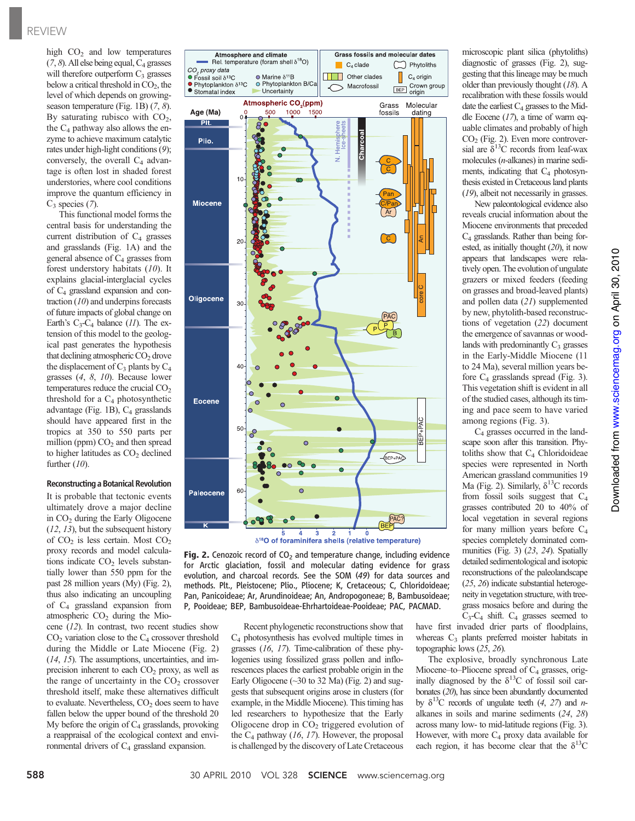high  $CO<sub>2</sub>$  and low temperatures  $(7, 8)$ . All else being equal,  $C_4$  grasses will therefore outperform  $C_3$  grasses below a critical threshold in  $CO<sub>2</sub>$ , the level of which depends on growingseason temperature (Fig. 1B)  $(7, 8)$ . By saturating rubisco with  $CO<sub>2</sub>$ , the  $C_4$  pathway also allows the enzyme to achieve maximum catalytic rates under high-light conditions (9); conversely, the overall  $C_4$  advantage is often lost in shaded forest understories, where cool conditions improve the quantum efficiency in  $C_3$  species (7).

This functional model forms the central basis for understanding the current distribution of  $C_4$  grasses and grasslands (Fig. 1A) and the general absence of  $C_4$  grasses from forest understory habitats (10). It explains glacial-interglacial cycles of C4 grassland expansion and contraction  $(10)$  and underpins forecasts of future impacts of global change on Earth's  $C_3-C_4$  balance (11). The extension of this model to the geological past generates the hypothesis that declining atmospheric  $CO<sub>2</sub>$  drove the displacement of  $C_3$  plants by  $C_4$ grasses (4, 8, 10). Because lower temperatures reduce the crucial  $CO<sub>2</sub>$ threshold for a  $C_4$  photosynthetic advantage (Fig. 1B),  $C_4$  grasslands should have appeared first in the tropics at 350 to 550 parts per million (ppm)  $CO<sub>2</sub>$  and then spread to higher latitudes as  $CO<sub>2</sub>$  declined further (10).

## Reconstructinga Botanical Revolution

It is probable that tectonic events ultimately drove a major decline in CO<sub>2</sub> during the Early Oligocene  $(12, 13)$ , but the subsequent history of  $CO<sub>2</sub>$  is less certain. Most  $CO<sub>2</sub>$ proxy records and model calculations indicate  $CO<sub>2</sub>$  levels substantially lower than 550 ppm for the past 28 million years (My) (Fig. 2), thus also indicating an uncoupling of C4 grassland expansion from atmospheric  $CO<sub>2</sub>$  during the Mio-

cene (12). In contrast, two recent studies show  $CO<sub>2</sub>$  variation close to the  $C<sub>4</sub>$  crossover threshold during the Middle or Late Miocene (Fig. 2) (14, 15). The assumptions, uncertainties, and imprecision inherent to each  $CO<sub>2</sub>$  proxy, as well as the range of uncertainty in the  $CO<sub>2</sub>$  crossover threshold itself, make these alternatives difficult to evaluate. Nevertheless,  $CO<sub>2</sub>$  does seem to have fallen below the upper bound of the threshold 20 My before the origin of  $C_4$  grasslands, provoking a reappraisal of the ecological context and environmental drivers of  $C_4$  grassland expansion.





**Fig. 2.** Cenozoic record of  $CO<sub>2</sub>$  and temperature change, including evidence for Arctic glaciation, fossil and molecular dating evidence for grass evolution, and charcoal records. See the SOM (49) for data sources and methods. Plt., Pleistocene; Plio., Pliocene; K, Cretaceous; C, Chloridoideae; Pan, Panicoideae; Ar, Arundinoideae; An, Andropogoneae; B, Bambusoideae; P, Pooideae; BEP, Bambusoideae-Ehrhartoideae-Pooideae; PAC, PACMAD.

> Recent phylogenetic reconstructions show that  $C_4$  photosynthesis has evolved multiple times in grasses (16, 17). Time-calibration of these phylogenies using fossilized grass pollen and inflorescences places the earliest probable origin in the Early Oligocene  $(\sim]30$  to 32 Ma) (Fig. 2) and suggests that subsequent origins arose in clusters (for example, in the Middle Miocene). This timing has led researchers to hypothesize that the Early Oligocene drop in  $CO<sub>2</sub>$  triggered evolution of the  $C_4$  pathway (16, 17). However, the proposal is challenged by the discovery of Late Cretaceous

microscopic plant silica (phytoliths) diagnostic of grasses (Fig. 2), suggesting that this lineage may be much older than previously thought (18). A recalibration with these fossils would date the earliest  $C_4$  grasses to the Middle Eocene  $(17)$ , a time of warm equable climates and probably of high  $CO<sub>2</sub>$  (Fig. 2). Even more controversial are  $\delta^{13}$ C records from leaf-wax molecules (n-alkanes) in marine sediments, indicating that  $C_4$  photosynthesis existed in Cretaceous land plants (19), albeit not necessarily in grasses.

New paleontological evidence also reveals crucial information about the Miocene environments that preceded  $C_4$  grasslands. Rather than being forested, as initially thought (20), it now appears that landscapes were relatively open. The evolution of ungulate grazers or mixed feeders (feeding on grasses and broad-leaved plants) and pollen data (21) supplemented by new, phytolith-based reconstructions of vegetation (22) document the emergence of savannas or woodlands with predominantly  $C_3$  grasses in the Early-Middle Miocene (11 to 24 Ma), several million years before  $C_4$  grasslands spread (Fig. 3). This vegetation shift is evident in all of the studied cases, although its timing and pace seem to have varied among regions (Fig. 3).

 $C_4$  grasses occurred in the landscape soon after this transition. Phytoliths show that  $C_4$  Chloridoideae species were represented in North American grassland communities 19 Ma (Fig. 2). Similarly,  $\delta^{13}$ C records from fossil soils suggest that C4 grasses contributed 20 to 40% of local vegetation in several regions for many million years before C4 species completely dominated communities (Fig. 3) (23, 24). Spatially detailed sedimentological and isotopic reconstructions of the paleolandscape (25, 26) indicate substantial heterogeneity in vegetation structure, with treegrass mosaics before and during the  $C_3-C_4$  shift.  $C_4$  grasses seemed to

have first invaded drier parts of floodplains, whereas  $C_3$  plants preferred moister habitats in topographic lows (25, 26).

The explosive, broadly synchronous Late Miocene–to–Pliocene spread of  $C_4$  grasses, originally diagnosed by the  $\delta^{13}$ C of fossil soil carbonates (20), has since been abundantly documented by  $\delta^{13}$ C records of ungulate teeth (4, 27) and *n*alkanes in soils and marine sediments (24, 28) across many low- to mid-latitude regions (Fig. 3). However, with more  $C_4$  proxy data available for each region, it has become clear that the  $\delta^{13}$ C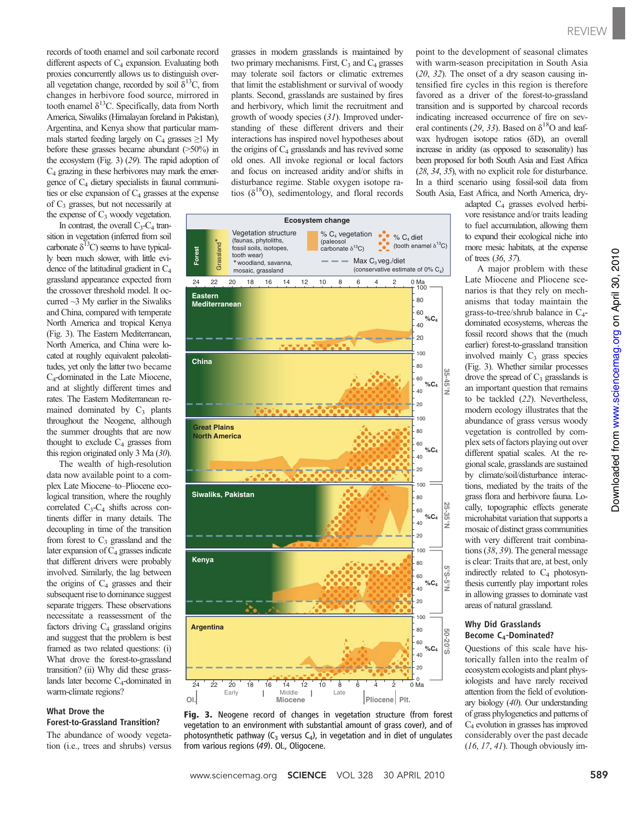records of tooth enamel and soil carbonate record different aspects of  $C_4$  expansion. Evaluating both proxies concurrently allows us to distinguish overall vegetation change, recorded by soil  $\delta^{13}C$ , from changes in herbivore food source, mirrored in tooth enamel  $\delta^{13}$ C. Specifically, data from North America, Siwaliks (Himalayan foreland in Pakistan), Argentina, and Kenya show that particular mammals started feeding largely on  $C_4$  grasses  $\geq 1$  My before these grasses became abundant (>50%) in the ecosystem (Fig. 3) (29). The rapid adoption of  $C_4$  grazing in these herbivores may mark the emergence of  $C_4$  dietary specialists in faunal communities or else expansion of  $C_4$  grasses at the expense

of  $C_3$  grasses, but not necessarily at the expense of  $C_3$  woody vegetation.

In contrast, the overall  $C_3-C_4$  tran-

sition in vegetation (inferred from soil carbonate  $\delta^{13}$ C) seems to have typically been much slower, with little evidence of the latitudinal gradient in C4 grassland appearance expected from the crossover threshold model. It occurred ~3 My earlier in the Siwaliks and China, compared with temperate North America and tropical Kenya (Fig. 3). The Eastern Mediterranean, North America, and China were located at roughly equivalent paleolatitudes, yet only the latter two became C4-dominated in the Late Miocene, and at slightly different times and rates. The Eastern Mediterranean remained dominated by  $C_3$  plants throughout the Neogene, although the summer droughts that are now thought to exclude  $C_4$  grasses from this region originated only 3 Ma (30).

The wealth of high-resolution data now available point to a complex Late Miocene–to–Pliocene ecological transition, where the roughly correlated  $C_3-C_4$  shifts across continents differ in many details. The decoupling in time of the transition from forest to  $C_3$  grassland and the later expansion of  $C_4$  grasses indicate that different drivers were probably involved. Similarly, the lag between the origins of  $C_4$  grasses and their subsequent rise to dominance suggest separate triggers. These observations necessitate a reassessment of the factors driving  $C_4$  grassland origins and suggest that the problem is best framed as two related questions: (i) What drove the forest-to-grassland transition? (ii) Why did these grasslands later become  $C_4$ -dominated in warm-climate regions?

## What Drove the Forest-to-Grassland Transition?

The abundance of woody vegetation (i.e., trees and shrubs) versus grasses in modern grasslands is maintained by two primary mechanisms. First,  $C_3$  and  $C_4$  grasses may tolerate soil factors or climatic extremes that limit the establishment or survival of woody plants. Second, grasslands are sustained by fires and herbivory, which limit the recruitment and growth of woody species (31). Improved understanding of these different drivers and their interactions has inspired novel hypotheses about the origins of  $C_4$  grasslands and has revived some old ones. All invoke regional or local factors and focus on increased aridity and/or shifts in disturbance regime. Stable oxygen isotope ratios ( $\delta^{18}$ O), sedimentology, and floral records



Fig. 3. Neogene record of changes in vegetation structure (from forest vegetation to an environment with substantial amount of grass cover), and of photosynthetic pathway ( $C_3$  versus  $C_4$ ), in vegetation and in diet of ungulates from various regions (49). Ol., Oligocene.

point to the development of seasonal climates with warm-season precipitation in South Asia (20, 32). The onset of a dry season causing intensified fire cycles in this region is therefore favored as a driver of the forest-to-grassland transition and is supported by charcoal records indicating increased occurrence of fire on several continents (29, 33). Based on  $\delta^{18}$ O and leafwax hydrogen isotope ratios  $(\delta D)$ , an overall increase in aridity (as opposed to seasonality) has been proposed for both South Asia and East Africa (28, 34, 35), with no explicit role for disturbance. In a third scenario using fossil-soil data from South Asia, East Africa, and North America, dry-

> adapted C4 grasses evolved herbivore resistance and/or traits leading to fuel accumulation, allowing them to expand their ecological niche into more mesic habitats, at the expense of trees (36, 37).

> A major problem with these Late Miocene and Pliocene scenarios is that they rely on mechanisms that today maintain the grass-to-tree/shrub balance in C4 dominated ecosystems, whereas the fossil record shows that the (much earlier) forest-to-grassland transition involved mainly  $C_3$  grass species (Fig. 3). Whether similar processes drove the spread of  $C_3$  grasslands is an important question that remains to be tackled (22). Nevertheless, modern ecology illustrates that the abundance of grass versus woody vegetation is controlled by complex sets of factors playing out over different spatial scales. At the regional scale, grasslands are sustained by climate/soil/disturbance interactions, mediated by the traits of the grass flora and herbivore fauna. Locally, topographic effects generate microhabitat variation that supports a mosaic of distinct grass communities with very different trait combinations (38, 39). The general message is clear: Traits that are, at best, only indirectly related to  $C_4$  photosynthesis currently play important roles in allowing grasses to dominate vast areas of natural grassland.

## Why Did Grasslands Become C4-Dominated?

Questions of this scale have historically fallen into the realm of ecosystem ecologists and plant physiologists and have rarely received attention from the field of evolutionary biology (40). Our understanding of grass phylogenetics and patterns of  $C_4$  evolution in grasses has improved considerably over the past decade (16, 17, 41). Though obviously im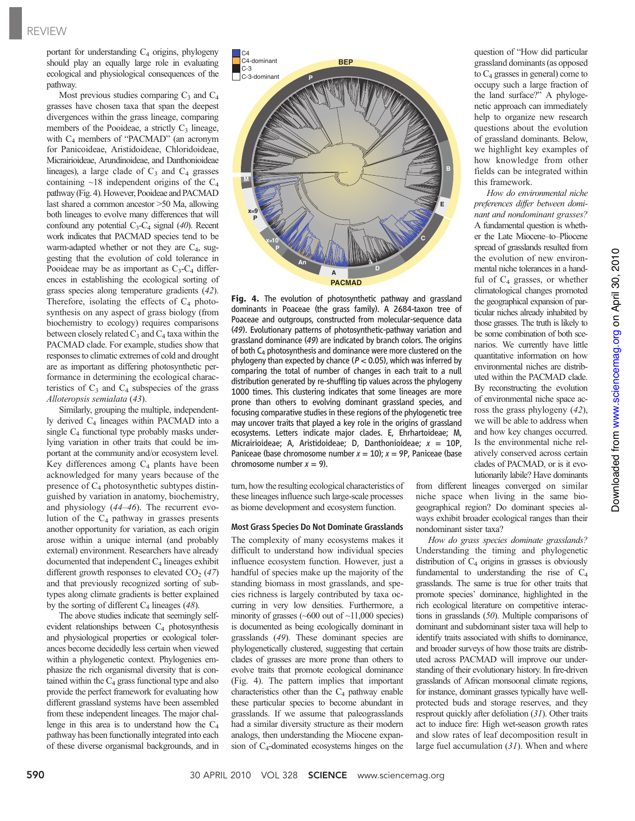portant for understanding  $C_4$  origins, phylogeny should play an equally large role in evaluating ecological and physiological consequences of the pathway.

Most previous studies comparing  $C_3$  and  $C_4$ grasses have chosen taxa that span the deepest divergences within the grass lineage, comparing members of the Pooideae, a strictly  $C_3$  lineage, with  $C_4$  members of "PACMAD" (an acronym for Panicoideae, Aristidoideae, Chloridoideae, Micrairioideae, Arundinoideae, and Danthonioideae lineages), a large clade of  $C_3$  and  $C_4$  grasses containing  $\sim$ 18 independent origins of the C<sub>4</sub> pathway (Fig. 4). However, Pooideae and PACMAD last shared a common ancestor >50 Ma, allowing both lineages to evolve many differences that will confound any potential  $C_3-C_4$  signal (40). Recent work indicates that PACMAD species tend to be warm-adapted whether or not they are  $C_4$ , suggesting that the evolution of cold tolerance in Pooideae may be as important as  $C_3-C_4$  differences in establishing the ecological sorting of grass species along temperature gradients (42). Therefore, isolating the effects of  $C_4$  photosynthesis on any aspect of grass biology (from biochemistry to ecology) requires comparisons between closely related  $C_3$  and  $C_4$  taxa within the PACMAD clade. For example, studies show that responses to climatic extremes of cold and drought are as important as differing photosynthetic performance in determining the ecological characteristics of  $C_3$  and  $C_4$  subspecies of the grass Alloteropsis semialata (43).

Similarly, grouping the multiple, independently derived  $C_4$  lineages within PACMAD into a single  $C_4$  functional type probably masks underlying variation in other traits that could be important at the community and/or ecosystem level. Key differences among  $C_4$  plants have been acknowledged for many years because of the presence of  $C_4$  photosynthetic subtypes distinguished by variation in anatomy, biochemistry, and physiology (44–46). The recurrent evolution of the  $C_4$  pathway in grasses presents another opportunity for variation, as each origin arose within a unique internal (and probably external) environment. Researchers have already documented that independent  $C_4$  lineages exhibit different growth responses to elevated  $CO<sub>2</sub> (47)$ and that previously recognized sorting of subtypes along climate gradients is better explained by the sorting of different  $C_4$  lineages (48).

The above studies indicate that seemingly selfevident relationships between C<sub>4</sub> photosynthesis and physiological properties or ecological tolerances become decidedly less certain when viewed within a phylogenetic context. Phylogenies emphasize the rich organismal diversity that is contained within the  $C_4$  grass functional type and also provide the perfect framework for evaluating how different grassland systems have been assembled from these independent lineages. The major challenge in this area is to understand how the  $C_4$ pathway has been functionally integrated into each of these diverse organismal backgrounds, and in



Fig. 4. The evolution of photosynthetic pathway and grassland dominants in Poaceae (the grass family). A 2684-taxon tree of Poaceae and outgroups, constructed from molecular-sequence data (49). Evolutionary patterns of photosynthetic-pathway variation and grassland dominance (49) are indicated by branch colors. The origins of both  $C_4$  photosynthesis and dominance were more clustered on the phylogeny than expected by chance ( $P < 0.05$ ), which was inferred by comparing the total of number of changes in each trait to a null distribution generated by re-shuffling tip values across the phylogeny 1000 times. This clustering indicates that some lineages are more prone than others to evolving dominant grassland species, and focusing comparative studies in these regions of the phylogenetic tree may uncover traits that played a key role in the origins of grassland ecosystems. Letters indicate major clades. E, Ehrhartoideae; M, Micrairioideae; A, Aristidoideae; D, Danthonioideae;  $x = 10P$ , Paniceae (base chromosome number  $x = 10$ );  $x = 9$ P, Paniceae (base chromosome number  $x = 9$ ).

turn, how the resulting ecological characteristics of these lineages influence such large-scale processes as biome development and ecosystem function.

## Most Grass Species Do Not Dominate Grasslands

The complexity of many ecosystems makes it difficult to understand how individual species influence ecosystem function. However, just a handful of species make up the majority of the standing biomass in most grasslands, and species richness is largely contributed by taxa occurring in very low densities. Furthermore, a minority of grasses  $(-600 \text{ out of } -11,000 \text{ species})$ is documented as being ecologically dominant in grasslands (49). These dominant species are phylogenetically clustered, suggesting that certain clades of grasses are more prone than others to evolve traits that promote ecological dominance (Fig. 4). The pattern implies that important characteristics other than the  $C_4$  pathway enable these particular species to become abundant in grasslands. If we assume that paleograsslands had a similar diversity structure as their modern analogs, then understanding the Miocene expansion of  $C_4$ -dominated ecosystems hinges on the question of "How did particular grassland dominants (as opposed to C4 grasses in general) come to occupy such a large fraction of the land surface?" A phylogenetic approach can immediately help to organize new research questions about the evolution of grassland dominants. Below, we highlight key examples of how knowledge from other fields can be integrated within this framework.

How do environmental niche preferences differ between dominant and nondominant grasses? A fundamental question is whether the Late Miocene–to–Pliocene spread of grasslands resulted from the evolution of new environmental niche tolerances in a handful of C4 grasses, or whether climatological changes promoted the geographical expansion of particular niches already inhabited by those grasses. The truth is likely to be some combination of both scenarios. We currently have little quantitative information on how environmental niches are distributed within the PACMAD clade. By reconstructing the evolution of environmental niche space across the grass phylogeny (42), we will be able to address when and how key changes occurred. Is the environmental niche relatively conserved across certain clades of PACMAD, or is it evolutionarily labile? Have dominants

www.sciencemag.org on April 30, 2010 Downloaded from www.sciencemag.org on April 30, 2010 Downloaded from

from different lineages converged on similar niche space when living in the same biogeographical region? Do dominant species always exhibit broader ecological ranges than their nondominant sister taxa?

How do grass species dominate grasslands? Understanding the timing and phylogenetic distribution of  $C_4$  origins in grasses is obviously fundamental to understanding the rise of  $C_4$ grasslands. The same is true for other traits that promote species' dominance, highlighted in the rich ecological literature on competitive interactions in grasslands (50). Multiple comparisons of dominant and subdominant sister taxa will help to identify traits associated with shifts to dominance, and broader surveys of how those traits are distributed across PACMAD will improve our understanding of their evolutionary history. In fire-driven grasslands of African monsoonal climate regions, for instance, dominant grasses typically have wellprotected buds and storage reserves, and they resprout quickly after defoliation (31). Other traits act to induce fire: High wet-season growth rates and slow rates of leaf decomposition result in large fuel accumulation (31). When and where